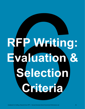# **RFP Writing: Evaluation & Selection Criteria**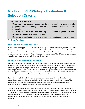# **Module 6: RFP Writing - Evaluation & Selection Criteria**

#### **In this module, you will:**

- Understand how adding transparency to your evaluation criteria can help proposers gain better clarity on how the evaluation team will assess their proposals.
- Learn how tailored, well-organized proposal submittal requirements can facilitate an easier evaluation process.
- Draft a set of evaluation criteria and proposal submission requirements.

#### **6.1 Best Practices**

#### **Evaluation and Selection Criteria**

At this point in drafting your RFP, you probably have a good sense of what work you want a vendor to do! However, you will need to select the vendor best able to deliver the services required to achieve your goals. This module will help you learn more about how to draft a set of evaluation criteria to assess the proposals you receive. You will also develop a clear idea of the different components you would like a prospective vendor to include in their proposal.

#### **Proposal Submission Requirements**

A prospective vendor's proposal is the primary opportunity for the vendor to show how they can meet your goals, solve the problems you face, and accomplish the scope of work. Generally, the proposal will be an opportunity for the proposer to tell you about how they meet your service requirements, what budget they can offer, whether they have the skills and qualifications you seek, and whether they have strong past performance doing similar work. The information you ask the proposer to submit should be the information you truly need to make a decision!

Depending on the RFP content, proposal submission requirements will vary. Regardless of the proposal submission requirements you include, it is important to put yourself in the shoes of the proposer, and to check that the submission requirements are clear and directly tied to either evaluation criteria, or government legal and policy requirements.

Sometimes, it can make sense to minimize requiring long narrative responses and instead ask for multiple short answer responses in a questionnaire format. By asking shorter, tailored questions, you can often solicit specific needed information about a proposer's experience, or understand the unique way they might approach a problem you have. This also allows you to focus vendors on your department's priorities for service delivery and tie successful responses to addressing these priorities.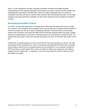Often, it is also beneficial to provide a separate submission template and budget template, incorporating all of the required information and questions you need a vendor to answer (rather than embedding this information in the RFP text), which can make it especially easy for a vendor to understand what they will need to submit in their proposal. Both minimizing the burden of multi-page narratives and using submission templates can also make responses more consistent and easier to evaluate.

#### **Developing Evaluation Criteria**

In an RFP, you have the opportunity to consider factors other than the lowest bid in how you select your vendors. The cumulative set of evaluation factors should allow you to identify the best solution or vendor that meets your full set of needs. Developing evaluation criteria that fairly and accurately assess what a proposer can bring to the table and how well their proposal meets your goals, budget, and service requirements is a key step in making sure that your procurement is results-focused. You certainly will not be able to meet your intended outcomes if you have not hired the right vendor for the job!

Furthermore, by clearly spelling out "how you will choose" from the proposals you receive, you help the proposer further understand your vision of success by articulating all the factors that you predict would enable a vendor to be a successful partner for your jurisdiction. As an example, consider an RFP that selects a vendor based 70% on price, and 30% on staff's prior experience. By omitting a category around "project plan" or "approach", you will not know about the vendor's plan for how to accomplish your goals.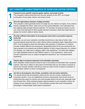| <b>KEY CONCEPT: CHARACTERISTICS OF GOOD EVALUATION CRITERIA</b> |                                                                                                                                                                                                                                                                                                                                                                                                                                                                                                                                                                                                                                                                                                                                                                                                                                                                                    |  |  |
|-----------------------------------------------------------------|------------------------------------------------------------------------------------------------------------------------------------------------------------------------------------------------------------------------------------------------------------------------------------------------------------------------------------------------------------------------------------------------------------------------------------------------------------------------------------------------------------------------------------------------------------------------------------------------------------------------------------------------------------------------------------------------------------------------------------------------------------------------------------------------------------------------------------------------------------------------------------|--|--|
|                                                                 | Connect to your specific outcome goals, metrics, and scope of work.<br>The evaluation criteria should flow from the prior sections of your RFP, as a logical<br>continuation of your goals, metrics, and scope of work.                                                                                                                                                                                                                                                                                                                                                                                                                                                                                                                                                                                                                                                            |  |  |
| 2                                                               | Give the right balance between multiple priorities.<br>The evaluation criteria generally should not weigh any one criterion too highly. If one criterion<br>heavily outweighs the others, make sure you have good justification, and understand how<br>the weighing might strongly influence selection. For example, focusing too heavily on price<br>can come at the detriment of other equally important evaluation criteria that might help you<br>assess the vendor's ability to deliver results.                                                                                                                                                                                                                                                                                                                                                                              |  |  |
| 3                                                               | Provide sufficient information to let proposers know what a successful response<br>looks like.<br>Generally, you and your evaluation committee should have a clear idea of what a high<br>scoring proposal would look like in each criterion before evaluations begin. Depending on the<br>RFP, it can be helpful to share this information with proposers. Furthermore, if a criterion<br>includes multiple different sub-components, designating points for the sub-components can<br>help proposers and reviewers pay sufficient attention to each unique dimension of a criterion.<br>For example, you might have a category called "work experience," but within that category<br>you might designate points for each different aspect of "work experience," which could<br>include components such as "project management experience" and "municipal finance<br>experience." |  |  |
|                                                                 | Clearly align to proposal responses and submittals requested.<br>Each evaluation criteria should connect to one or more pieces of information that a proposer<br>submits. Take time to reflect on each piece of information that you are asking a proposer to<br>submit and consider whether it will tell you what you need to know to assess a proposer on<br>the evaluation criterion to which it corresponds.                                                                                                                                                                                                                                                                                                                                                                                                                                                                   |  |  |
|                                                                 | Are fair to all proposers, free of bias, consistent, and not overly restrictive.<br>You should ensure that all evaluation criteria are fair, and do not give a preference to<br>incumbent vendors. If you are establishing minimum requirements, they should not be so<br>limiting that they weed out vendors who could actually perform the job well, especially small<br>and minority firms. What underlying biases might be present in your evaluation criteria, the<br>makeup of your evaluation panel, or in the evaluation process that could unnecessarily<br>advantage or disadvantage certain types of proposers?                                                                                                                                                                                                                                                         |  |  |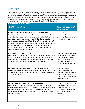## **6.2 Example**

The example below shows evaluation criteria from a city that issued an RFP to hire a local non-profit to administer and manage an economic mobility program that had previously been run in-house. In this RFP, by sharing the relative importance of the evaluation criteria, and by breaking out the specific qualification areas that the city was interested in knowing more about, the city was able to have an improved understanding of a proposer's specific strengths and qualifications. In the right column, we share what the city asked proposers to submit in each qualification area.

| <b>EVALUATION CRITERIA</b>                                                                                                                                                                                                                                                                                                                                                                                                                                                                                                                                                                          |                                                                                                                                                                                    |  |  |
|-----------------------------------------------------------------------------------------------------------------------------------------------------------------------------------------------------------------------------------------------------------------------------------------------------------------------------------------------------------------------------------------------------------------------------------------------------------------------------------------------------------------------------------------------------------------------------------------------------|------------------------------------------------------------------------------------------------------------------------------------------------------------------------------------|--|--|
| <b>Qualification Area</b>                                                                                                                                                                                                                                                                                                                                                                                                                                                                                                                                                                           | <b>Proposal submittal</b><br><i>information</i>                                                                                                                                    |  |  |
| <b>ORGANIZATIONAL CAPACITY AND EXPERIENCE (XX%)</b><br>Based upon the respondent's overall capacity and experience that is<br>relevant to the work in this RFP, and demonstrated ability to provide<br>successful program management, technical and data expertise,<br>partnership management, and fundraising efforts during the term of<br>the contract. The City understands that an organization might need to<br>hire for new capacity, and may give full credit to responses that<br>present a thoughtful, realistic plan about how new capacity and<br>expertise will be hired or developed. | Five short-answer questions<br>asking about the proposer's<br>capacity and experience in<br>relevant topic areas.                                                                  |  |  |
| <b>METHOD OF APPROACH (XX%)</b><br>Referring to the soundness of the proposer's planned approach to the<br>project, including ability to address current and future challenges,<br>planned approach to working in partnership with the City, evidence of<br>organizational buy-in, and proposed staffing approach.                                                                                                                                                                                                                                                                                  | Four short-answer questions<br>asking about the proposer's<br>approach, ability to tackle<br>challenges outlined in the<br>RFP, and plan to work<br>collaboratively with the City. |  |  |
| EQUITY AND ECONOMIC MOBILITY APPROACH (XX%)<br>Based upon the respondent's understanding and planned approach to<br>address equity and economic mobility in program design, execution<br>and administration.                                                                                                                                                                                                                                                                                                                                                                                        | Three short-answer<br>questions assessing the<br>proposer's ability to consider<br>equity in their efforts and<br>understand the needs of the<br>target population.                |  |  |
| <b>BUDGET AND RESOURCE ALLOCATION (XX%)</b><br>Referring to the respondent's planned approach to allocate City<br>financial resources and ability to supplement those resources with in-<br>kind or outside support. The Issuing Office reserves the right to<br>negotiate a final project price and scope in accordance with the City<br>Code of Ordinances.                                                                                                                                                                                                                                       | Proposers completed a cost<br>proposal outlining their plan<br>to allocate financial<br>resources and supplement<br>with outside or in-kind<br>support.                            |  |  |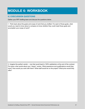# **MODULE 6: WORKBOOK**

## **6.3 DISCUSSION QUESTIONS**

Gather your RFP drafting team and discuss the questions below.

1. Think back about the goals and scope of work that you drafted. For each of those goals, what would you need to know about a company to know whether they could meet those goals and accomplish your scope of work?

2. Imagine the perfect vendor -- one that would lead to 100% satisfaction at the end of the contract. Put down a few words about your "dream" vendor. What experience and qualifications would they have? How would you work with them? What staff would be on the project? What price would they offer?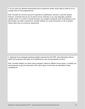3. Do you have any absolute requirements that a prospective vendor would need to meet for you to consider them for this project/service?

*Note: Consider the minimum amount of experience, qualifications, licenses, or permits needed. However, remember that you do not want to be too restrictive or you may disqualify a perfectly capable vendor, or a small or minority business very capable of doing the work! If something is not a deal breaker, but rather a preference, consider whether you could incorporate it in the evaluation criteria rather than as a minimum requirement.*

4. (Optional) If you anticipate awarding multiple contracts from this RFP, what information will you collect from proposers that helps you to distribute the work among selected vendors?

*Note: Consider whether you need unique evaluation criteria for different service types, or whether you need proposers to tell you what areas of the city/or types of work they are interested in being considered for.*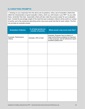## **6.4 DRAFTING PROMPTS**

1. Drawing on your responses from the above set of questions, write a set of evaluation criteria that reflect the characteristics of good evaluation criteria, which you will include in your RFP. As you write these, remember that clear, reasonable criteria will also make the process easier for your evaluation team. Include the percentage weight of the total that each evaluation criterion will be worth (or number of points), and a few sentences describing what a top score would look like for each criteria. The first row provides an example answer.

| <b>Evaluation Criterion</b>            | % of total points (or<br>number of points) | What would a top score look like?                                                                                                                        |
|----------------------------------------|--------------------------------------------|----------------------------------------------------------------------------------------------------------------------------------------------------------|
| Example: Performance<br><b>History</b> | Example: 20% of total                      | Example: Proposer has no history of<br>major performance problems as reported<br>in their proposal, and all references report<br>excellent quality work. |
|                                        |                                            |                                                                                                                                                          |
|                                        |                                            |                                                                                                                                                          |
|                                        |                                            |                                                                                                                                                          |
|                                        |                                            |                                                                                                                                                          |
|                                        |                                            |                                                                                                                                                          |
|                                        |                                            |                                                                                                                                                          |
|                                        |                                            |                                                                                                                                                          |
|                                        |                                            |                                                                                                                                                          |
|                                        |                                            |                                                                                                                                                          |
|                                        |                                            |                                                                                                                                                          |